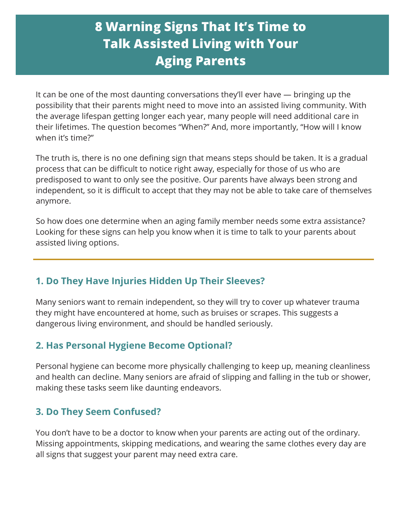# **8 Warning Signs That It's Time to Talk Assisted Living with Your Aging Parents**

It can be one of the most daunting conversations they'll ever have — bringing up the possibility that their parents might need to move into an assisted living community. With the average lifespan getting longer each year, many people will need additional care in their lifetimes. The question becomes "When?" And, more importantly, "How will I know when it's time?"

The truth is, there is no one defining sign that means steps should be taken. It is a gradual process that can be difficult to notice right away, especially for those of us who are predisposed to want to only see the positive. Our parents have always been strong and independent, so it is difficult to accept that they may not be able to take care of themselves anymore.

So how does one determine when an aging family member needs some extra assistance? Looking for these signs can help you know when it is time to talk to your parents about assisted living options.

## **1. Do They Have Injuries Hidden Up Their Sleeves?**

Many seniors want to remain independent, so they will try to cover up whatever trauma they might have encountered at home, such as bruises or scrapes. This suggests a dangerous living environment, and should be handled seriously.

#### **2. Has Personal Hygiene Become Optional?**

Personal hygiene can become more physically challenging to keep up, meaning cleanliness and health can decline. Many seniors are afraid of slipping and falling in the tub or shower, making these tasks seem like daunting endeavors.

#### **3. Do They Seem Confused?**

You don't have to be a doctor to know when your parents are acting out of the ordinary. Missing appointments, skipping medications, and wearing the same clothes every day are all signs that suggest your parent may need extra care.